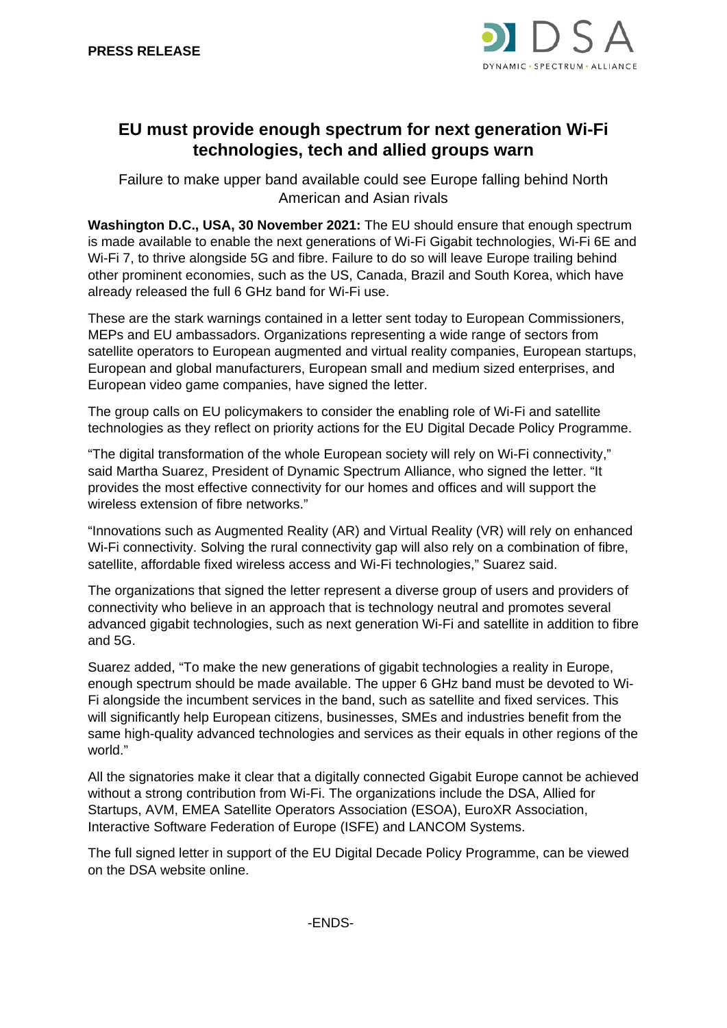

## **EU must provide enough spectrum for next generation Wi-Fi technologies, tech and allied groups warn**

Failure to make upper band available could see Europe falling behind North American and Asian rivals

**Washington D.C., USA, 30 November 2021:** The EU should ensure that enough spectrum is made available to enable the next generations of Wi-Fi Gigabit technologies, Wi-Fi 6E and Wi-Fi 7, to thrive alongside 5G and fibre. Failure to do so will leave Europe trailing behind other prominent economies, such as the US, Canada, Brazil and South Korea, which have already released the full 6 GHz band for Wi-Fi use.

These are the stark warnings contained in a letter sent today to European Commissioners, MEPs and EU ambassadors. Organizations representing a wide range of sectors from satellite operators to European augmented and virtual reality companies, European startups, European and global manufacturers, European small and medium sized enterprises, and European video game companies, have signed the letter.

The group calls on EU policymakers to consider the enabling role of Wi-Fi and satellite technologies as they reflect on priority actions for the EU Digital Decade Policy Programme.

"The digital transformation of the whole European society will rely on Wi-Fi connectivity," said Martha Suarez, President of Dynamic Spectrum Alliance, who signed the letter. "It provides the most effective connectivity for our homes and offices and will support the wireless extension of fibre networks."

"Innovations such as Augmented Reality (AR) and Virtual Reality (VR) will rely on enhanced Wi-Fi connectivity. Solving the rural connectivity gap will also rely on a combination of fibre, satellite, affordable fixed wireless access and Wi-Fi technologies," Suarez said.

The organizations that signed the letter represent a diverse group of users and providers of connectivity who believe in an approach that is technology neutral and promotes several advanced gigabit technologies, such as next generation Wi-Fi and satellite in addition to fibre and 5G.

Suarez added, "To make the new generations of gigabit technologies a reality in Europe, enough spectrum should be made available. The upper 6 GHz band must be devoted to Wi-Fi alongside the incumbent services in the band, such as satellite and fixed services. This will significantly help European citizens, businesses, SMEs and industries benefit from the same high-quality advanced technologies and services as their equals in other regions of the world."

All the signatories make it clear that a digitally connected Gigabit Europe cannot be achieved without a strong contribution from Wi-Fi. The organizations include the DSA, Allied for Startups, AVM, EMEA Satellite Operators Association (ESOA), EuroXR Association, Interactive Software Federation of Europe (ISFE) and LANCOM Systems.

The full signed letter in support of the EU Digital Decade Policy Programme, can be viewed on the DSA website online.